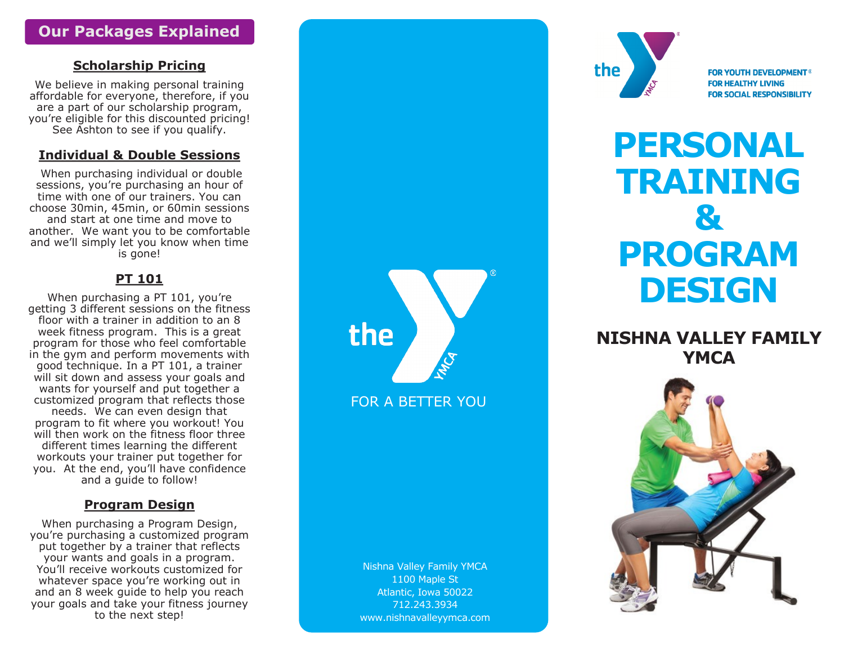# **Our Packages Explained**

## **Scholarship Pricing**

We believe in making personal training affordable for everyone, therefore, if you are a part of our scholarship program, you 're eligible for this discounted pricing! See Ashton to see if you qualify.

#### **Individual & Double Sessions**

When purchasing individual or double sessions, you're purchasing an hour of time with one of our trainers. You can choose 30min, 45min, or 60min sessions and start at one time and move to another. We want you to be comfortable and we 'll simply let you know when time is gone!

## **PT 101**

When purchasing a PT 101, you're getting 3 different sessions on the fitness floor with a trainer in addition to an 8 week fitness program. This is a great program for those who feel comfortable in the gym and perform movements with good technique. In a PT 101, a trainer will sit down and assess your goals and wants for yourself and put together a customized program that reflects those needs. We can even design that program to fit where you workout! You will then work on the fitness floor three different times learning the different workouts your trainer put together for you. At the end, you 'll have confidence and a guide to follow!

## **Program Design**

When purchasing a Program Design, you 're purchasing a customized program put together by a trainer that reflects your wants and goals in a program. You 'll receive workouts customized for whatever space you 're working out in and an 8 week guide to help you reach your goals and take your fitness journey to the next step!



FOR A BETTER YOU

Nishna Valley Family YMCA 1100 Maple St Atlantic, Iowa 50022 712.243.3934 www.nishnavalleyymca.com



**FOR YOUTH DEVELOPMENT<sup>®</sup> FOR HEALTHY LIVING FOR SOCIAL RESPONSIBILITY** 

# **PERSONAL TRAINING & PROGRAM DESIGN**

# **NISHNA VALLEY FAMILY YMCA**